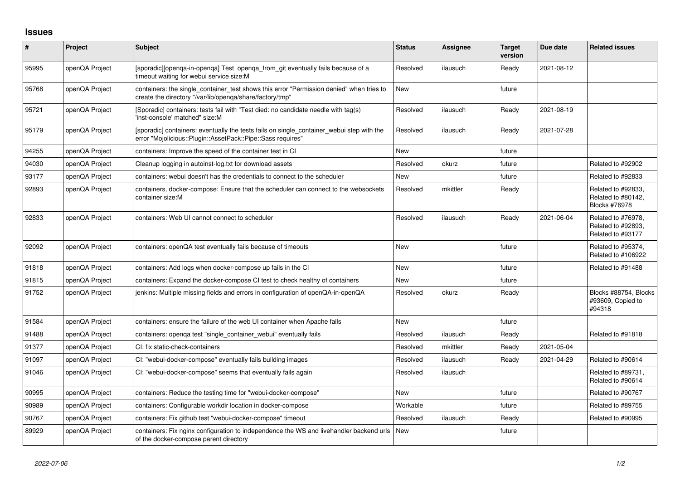## **Issues**

| $\vert$ # | <b>Project</b> | Subject                                                                                                                                                  | <b>Status</b> | Assignee | <b>Target</b><br>version | Due date   | <b>Related issues</b>                                            |
|-----------|----------------|----------------------------------------------------------------------------------------------------------------------------------------------------------|---------------|----------|--------------------------|------------|------------------------------------------------------------------|
| 95995     | openQA Project | [sporadic][openqa-in-openqa] Test openqa_from_git eventually fails because of a<br>timeout waiting for webui service size:M                              | Resolved      | ilausuch | Ready                    | 2021-08-12 |                                                                  |
| 95768     | openQA Project | containers: the single_container_test shows this error "Permission denied" when tries to<br>create the directory "/var/lib/openga/share/factory/tmp"     | <b>New</b>    |          | future                   |            |                                                                  |
| 95721     | openQA Project | [Sporadic] containers: tests fail with "Test died: no candidate needle with tag(s)<br>'inst-console' matched" size:M                                     | Resolved      | ilausuch | Ready                    | 2021-08-19 |                                                                  |
| 95179     | openQA Project | [sporadic] containers: eventually the tests fails on single_container_webui step with the<br>error "Mojolicious::Plugin::AssetPack::Pipe::Sass requires" | Resolved      | ilausuch | Ready                    | 2021-07-28 |                                                                  |
| 94255     | openQA Project | containers: Improve the speed of the container test in CI                                                                                                | <b>New</b>    |          | future                   |            |                                                                  |
| 94030     | openQA Project | Cleanup logging in autoinst-log.txt for download assets                                                                                                  | Resolved      | okurz    | future                   |            | Related to #92902                                                |
| 93177     | openQA Project | containers: webui doesn't has the credentials to connect to the scheduler                                                                                | <b>New</b>    |          | future                   |            | Related to #92833                                                |
| 92893     | openQA Project | containers, docker-compose: Ensure that the scheduler can connect to the websockets<br>container size:M                                                  | Resolved      | mkittler | Ready                    |            | Related to #92833.<br>Related to #80142,<br><b>Blocks #76978</b> |
| 92833     | openQA Project | containers: Web UI cannot connect to scheduler                                                                                                           | Resolved      | ilausuch | Ready                    | 2021-06-04 | Related to #76978,<br>Related to #92893,<br>Related to #93177    |
| 92092     | openQA Project | containers: openQA test eventually fails because of timeouts                                                                                             | <b>New</b>    |          | future                   |            | Related to #95374,<br>Related to #106922                         |
| 91818     | openQA Project | containers: Add logs when docker-compose up fails in the CI                                                                                              | <b>New</b>    |          | future                   |            | Related to #91488                                                |
| 91815     | openQA Project | containers: Expand the docker-compose CI test to check healthy of containers                                                                             | <b>New</b>    |          | future                   |            |                                                                  |
| 91752     | openQA Project | jenkins: Multiple missing fields and errors in configuration of openQA-in-openQA                                                                         | Resolved      | okurz    | Ready                    |            | Blocks #88754, Blocks<br>#93609, Copied to<br>#94318             |
| 91584     | openQA Project | containers: ensure the failure of the web UI container when Apache fails                                                                                 | New           |          | future                   |            |                                                                  |
| 91488     | openQA Project | containers: openga test "single_container_webui" eventually fails                                                                                        | Resolved      | ilausuch | Ready                    |            | Related to #91818                                                |
| 91377     | openQA Project | CI: fix static-check-containers                                                                                                                          | Resolved      | mkittler | Ready                    | 2021-05-04 |                                                                  |
| 91097     | openQA Project | CI: "webui-docker-compose" eventually fails building images                                                                                              | Resolved      | ilausuch | Ready                    | 2021-04-29 | Related to #90614                                                |
| 91046     | openQA Project | CI: "webui-docker-compose" seems that eventually fails again                                                                                             | Resolved      | ilausuch |                          |            | Related to #89731,<br>Related to #90614                          |
| 90995     | openQA Project | containers: Reduce the testing time for "webui-docker-compose"                                                                                           | <b>New</b>    |          | future                   |            | Related to #90767                                                |
| 90989     | openQA Project | containers: Configurable workdir location in docker-compose                                                                                              | Workable      |          | future                   |            | Related to #89755                                                |
| 90767     | openQA Project | containers: Fix github test "webui-docker-compose" timeout                                                                                               | Resolved      | ilausuch | Ready                    |            | Related to #90995                                                |
| 89929     | openQA Project | containers: Fix nginx configuration to independence the WS and livehandler backend urls<br>of the docker-compose parent directory                        | <b>New</b>    |          | future                   |            |                                                                  |